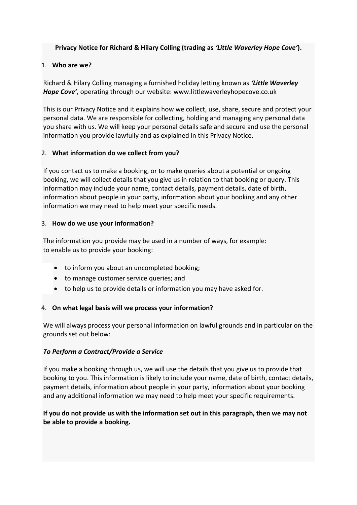**Privacy Notice for Richard & Hilary Colling (trading as** *'Little Waverley Hope Cove'***).**

## 1. **Who are we?**

Richard & Hilary Colling managing a furnished holiday letting known as *'Little Waverley Hope Cove'*, operating through our website: [www.littlewaverleyhopecove.co.uk](http://www.littlewaverleyhopecove.co.uk/)

This is our Privacy Notice and it explains how we collect, use, share, secure and protect your personal data. We are responsible for collecting, holding and managing any personal data you share with us. We will keep your personal details safe and secure and use the personal information you provide lawfully and as explained in this Privacy Notice.

# 2. **What information do we collect from you?**

If you contact us to make a booking, or to make queries about a potential or ongoing booking, we will collect details that you give us in relation to that booking or query. This information may include your name, contact details, payment details, date of birth, information about people in your party, information about your booking and any other information we may need to help meet your specific needs.

# 3. **How do we use your information?**

The information you provide may be used in a number of ways, for example: to enable us to provide your booking:

- to inform you about an uncompleted booking;
- to manage customer service queries; and
- to help us to provide details or information you may have asked for.

# 4. **On what legal basis will we process your information?**

We will always process your personal information on lawful grounds and in particular on the grounds set out below:

# *To Perform a Contract/Provide a Service*

If you make a booking through us, we will use the details that you give us to provide that booking to you. This information is likely to include your name, date of birth, contact details, payment details, information about people in your party, information about your booking and any additional information we may need to help meet your specific requirements.

# **If you do not provide us with the information set out in this paragraph, then we may not be able to provide a booking.**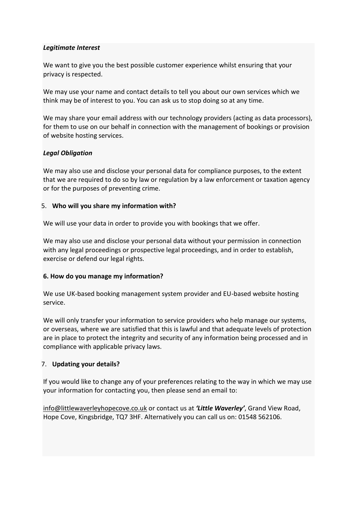### *Legitimate Interest*

We want to give you the best possible customer experience whilst ensuring that your privacy is respected.

We may use your name and contact details to tell you about our own services which we think may be of interest to you. You can ask us to stop doing so at any time.

We may share your email address with our technology providers (acting as data processors), for them to use on our behalf in connection with the management of bookings or provision of website hosting services.

## *Legal Obligation*

We may also use and disclose your personal data for compliance purposes, to the extent that we are required to do so by law or regulation by a law enforcement or taxation agency or for the purposes of preventing crime.

#### 5. **Who will you share my information with?**

We will use your data in order to provide you with bookings that we offer.

We may also use and disclose your personal data without your permission in connection with any legal proceedings or prospective legal proceedings, and in order to establish, exercise or defend our legal rights.

#### **6. How do you manage my information?**

We use UK-based booking management system provider and EU-based website hosting service.

We will only transfer your information to service providers who help manage our systems, or overseas, where we are satisfied that this is lawful and that adequate levels of protection are in place to protect the integrity and security of any information being processed and in compliance with applicable privacy laws.

#### 7. **Updating your details?**

If you would like to change any of your preferences relating to the way in which we may use your information for contacting you, then please send an email to:

[info@littlewaverleyhopecove.co.uk](mailto:info@littlewaverleyhopecove.co.uk) or contact us at *'Little Waverley'*, Grand View Road, Hope Cove, Kingsbridge, TQ7 3HF. Alternatively you can call us on: 01548 562106.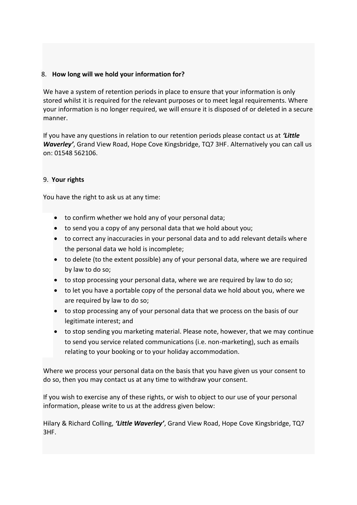## 8. **How long will we hold your information for?**

We have a system of retention periods in place to ensure that your information is only stored whilst it is required for the relevant purposes or to meet legal requirements. Where your information is no longer required, we will ensure it is disposed of or deleted in a secure manner.

If you have any questions in relation to our retention periods please contact us at *'Little Waverley'*, Grand View Road, Hope Cove Kingsbridge, TQ7 3HF. Alternatively you can call us on: 01548 562106.

#### 9. **Your rights**

You have the right to ask us at any time:

- to confirm whether we hold any of your personal data;
- to send you a copy of any personal data that we hold about you;
- to correct any inaccuracies in your personal data and to add relevant details where the personal data we hold is incomplete;
- to delete (to the extent possible) any of your personal data, where we are required by law to do so;
- to stop processing your personal data, where we are required by law to do so;
- to let you have a portable copy of the personal data we hold about you, where we are required by law to do so;
- to stop processing any of your personal data that we process on the basis of our legitimate interest; and
- to stop sending you marketing material. Please note, however, that we may continue to send you service related communications (i.e. non-marketing), such as emails relating to your booking or to your holiday accommodation.

Where we process your personal data on the basis that you have given us your consent to do so, then you may contact us at any time to withdraw your consent.

If you wish to exercise any of these rights, or wish to object to our use of your personal information, please write to us at the address given below:

Hilary & Richard Colling, *'Little Waverley'*, Grand View Road, Hope Cove Kingsbridge, TQ7 3HF.